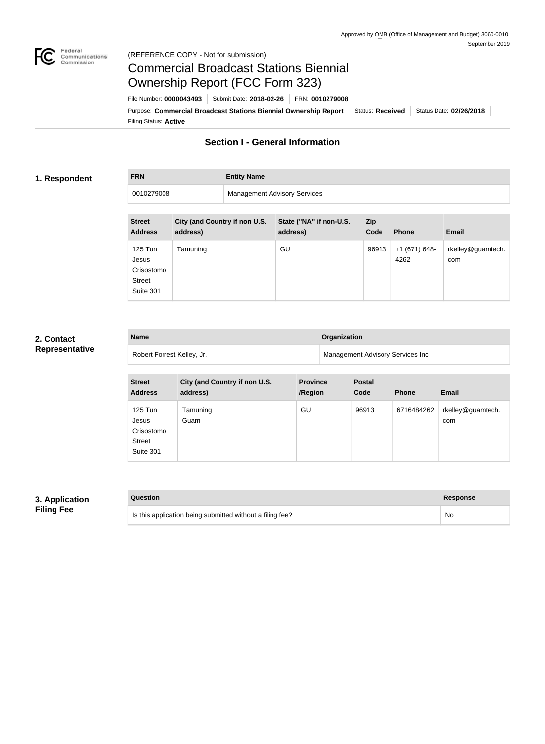

#### Federal<br>Communications<br>Commission (REFERENCE COPY - Not for submission)

# Commercial Broadcast Stations Biennial Ownership Report (FCC Form 323)

Filing Status: **Active** Purpose: Commercial Broadcast Stations Biennial Ownership Report Status: Received Status Date: 02/26/2018 File Number: **0000043493** Submit Date: **2018-02-26** FRN: **0010279008**

# **Section I - General Information**

#### **1. Respondent**

**FRN Entity Name**

0010279008 Management Advisory Services

| <b>Street</b><br><b>Address</b>                              | City (and Country if non U.S.<br>address) | State ("NA" if non-U.S.<br>address) | <b>Zip</b><br>Code | <b>Phone</b>          | <b>Email</b>             |
|--------------------------------------------------------------|-------------------------------------------|-------------------------------------|--------------------|-----------------------|--------------------------|
| 125 Tun<br>Jesus<br>Crisostomo<br><b>Street</b><br>Suite 301 | Tamuning                                  | GU                                  | 96913              | +1 (671) 648-<br>4262 | rkelley@guamtech.<br>com |

#### **2. Contact Representative**

| <b>Name</b>                | Organization                     |
|----------------------------|----------------------------------|
| Robert Forrest Kelley, Jr. | Management Advisory Services Inc |

| <b>Street</b><br><b>Address</b>                              | City (and Country if non U.S.<br>address) | <b>Province</b><br>/Region | <b>Postal</b><br>Code | <b>Phone</b> | <b>Email</b>             |
|--------------------------------------------------------------|-------------------------------------------|----------------------------|-----------------------|--------------|--------------------------|
| 125 Tun<br>Jesus<br>Crisostomo<br><b>Street</b><br>Suite 301 | Tamuning<br>Guam                          | GU                         | 96913                 | 6716484262   | rkelley@guamtech.<br>com |

# **3. Application Filing Fee**

| Question                                                  | Response |
|-----------------------------------------------------------|----------|
| Is this application being submitted without a filing fee? | No       |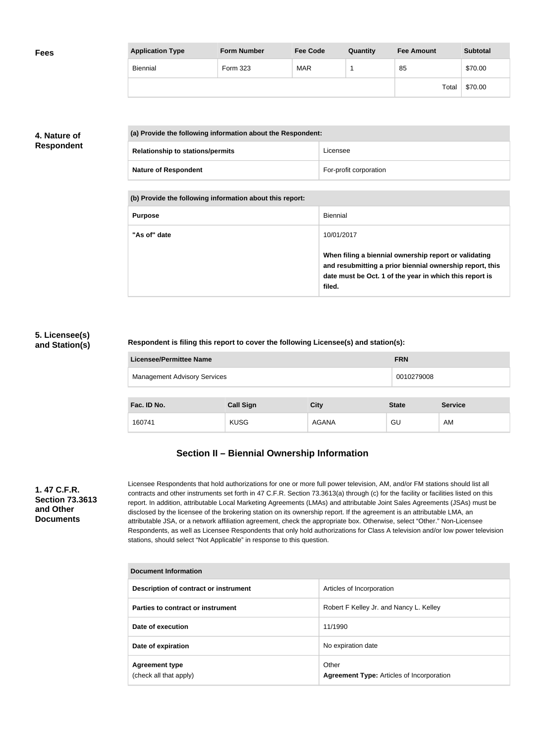| <b>Fees</b> | <b>Application Type</b> | <b>Form Number</b> | <b>Fee Code</b> | Quantity | <b>Fee Amount</b> | <b>Subtotal</b> |
|-------------|-------------------------|--------------------|-----------------|----------|-------------------|-----------------|
|             | Biennial                | Form 323           | <b>MAR</b>      |          | 85                | \$70.00         |
|             |                         |                    |                 |          | Total             | \$70.00         |

# **4. Nature of Respondent**

| (a) Provide the following information about the Respondent: |                        |
|-------------------------------------------------------------|------------------------|
| <b>Relationship to stations/permits</b>                     | Licensee               |
| <b>Nature of Respondent</b>                                 | For-profit corporation |

**(b) Provide the following information about this report:**

| <b>Purpose</b> | <b>Biennial</b>                                                                                                                                                                        |
|----------------|----------------------------------------------------------------------------------------------------------------------------------------------------------------------------------------|
| "As of" date   | 10/01/2017                                                                                                                                                                             |
|                | When filing a biennial ownership report or validating<br>and resubmitting a prior biennial ownership report, this<br>date must be Oct. 1 of the year in which this report is<br>filed. |

#### **5. Licensee(s) and Station(s)**

#### **Respondent is filing this report to cover the following Licensee(s) and station(s):**

| <b>Licensee/Permittee Name</b>      |                  |             | <b>FRN</b>   |                |
|-------------------------------------|------------------|-------------|--------------|----------------|
| <b>Management Advisory Services</b> |                  | 0010279008  |              |                |
|                                     |                  |             |              |                |
| Fac. ID No.                         | <b>Call Sign</b> | <b>City</b> | <b>State</b> | <b>Service</b> |
|                                     |                  |             |              |                |

# **Section II – Biennial Ownership Information**

160741 KUSG AGANA GU AM

#### **1. 47 C.F.R. Section 73.3613 and Other Documents**

Licensee Respondents that hold authorizations for one or more full power television, AM, and/or FM stations should list all contracts and other instruments set forth in 47 C.F.R. Section 73.3613(a) through (c) for the facility or facilities listed on this report. In addition, attributable Local Marketing Agreements (LMAs) and attributable Joint Sales Agreements (JSAs) must be disclosed by the licensee of the brokering station on its ownership report. If the agreement is an attributable LMA, an attributable JSA, or a network affiliation agreement, check the appropriate box. Otherwise, select "Other." Non-Licensee Respondents, as well as Licensee Respondents that only hold authorizations for Class A television and/or low power television stations, should select "Not Applicable" in response to this question.

| <b>Document Information</b>                     |                                                           |
|-------------------------------------------------|-----------------------------------------------------------|
| Description of contract or instrument           | Articles of Incorporation                                 |
| Parties to contract or instrument               | Robert F Kelley Jr. and Nancy L. Kelley                   |
| Date of execution                               | 11/1990                                                   |
| Date of expiration                              | No expiration date                                        |
| <b>Agreement type</b><br>(check all that apply) | Other<br><b>Agreement Type: Articles of Incorporation</b> |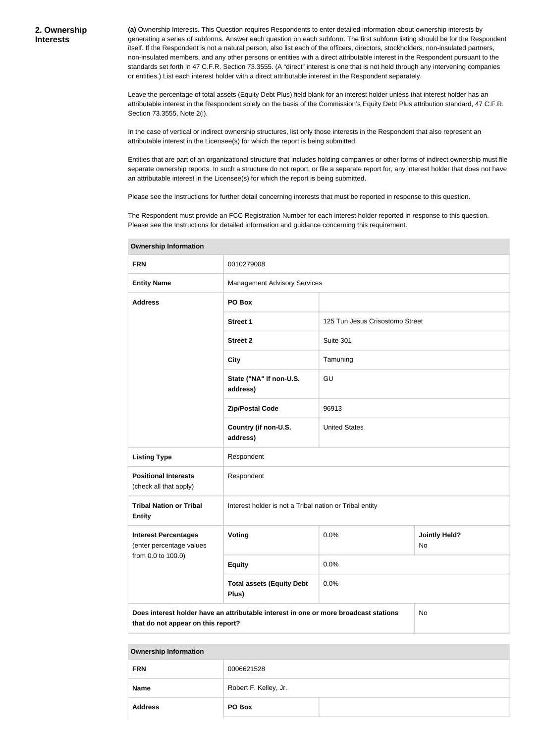**(a)** Ownership Interests. This Question requires Respondents to enter detailed information about ownership interests by generating a series of subforms. Answer each question on each subform. The first subform listing should be for the Respondent itself. If the Respondent is not a natural person, also list each of the officers, directors, stockholders, non-insulated partners, non-insulated members, and any other persons or entities with a direct attributable interest in the Respondent pursuant to the standards set forth in 47 C.F.R. Section 73.3555. (A "direct" interest is one that is not held through any intervening companies or entities.) List each interest holder with a direct attributable interest in the Respondent separately.

Leave the percentage of total assets (Equity Debt Plus) field blank for an interest holder unless that interest holder has an attributable interest in the Respondent solely on the basis of the Commission's Equity Debt Plus attribution standard, 47 C.F.R. Section 73.3555, Note 2(i).

In the case of vertical or indirect ownership structures, list only those interests in the Respondent that also represent an attributable interest in the Licensee(s) for which the report is being submitted.

Entities that are part of an organizational structure that includes holding companies or other forms of indirect ownership must file separate ownership reports. In such a structure do not report, or file a separate report for, any interest holder that does not have an attributable interest in the Licensee(s) for which the report is being submitted.

Please see the Instructions for further detail concerning interests that must be reported in response to this question.

The Respondent must provide an FCC Registration Number for each interest holder reported in response to this question. Please see the Instructions for detailed information and guidance concerning this requirement.

| <b>FRN</b>                                                                                                                       | 0010279008                                              |                                 |                            |
|----------------------------------------------------------------------------------------------------------------------------------|---------------------------------------------------------|---------------------------------|----------------------------|
| <b>Entity Name</b>                                                                                                               | <b>Management Advisory Services</b>                     |                                 |                            |
| <b>Address</b>                                                                                                                   | PO Box                                                  |                                 |                            |
|                                                                                                                                  | <b>Street 1</b>                                         | 125 Tun Jesus Crisostomo Street |                            |
|                                                                                                                                  | <b>Street 2</b>                                         | Suite 301                       |                            |
|                                                                                                                                  | <b>City</b>                                             | Tamuning                        |                            |
|                                                                                                                                  | State ("NA" if non-U.S.<br>address)                     | GU                              |                            |
|                                                                                                                                  | <b>Zip/Postal Code</b>                                  | 96913                           |                            |
|                                                                                                                                  | Country (if non-U.S.<br>address)                        | <b>United States</b>            |                            |
| <b>Listing Type</b>                                                                                                              | Respondent                                              |                                 |                            |
| <b>Positional Interests</b><br>(check all that apply)                                                                            | Respondent                                              |                                 |                            |
| <b>Tribal Nation or Tribal</b><br><b>Entity</b>                                                                                  | Interest holder is not a Tribal nation or Tribal entity |                                 |                            |
| <b>Interest Percentages</b><br>(enter percentage values                                                                          | <b>Voting</b>                                           | 0.0%                            | <b>Jointly Held?</b><br>No |
| from 0.0 to 100.0)                                                                                                               | <b>Equity</b>                                           | 0.0%                            |                            |
|                                                                                                                                  | <b>Total assets (Equity Debt</b><br>Plus)               | 0.0%                            |                            |
| Does interest holder have an attributable interest in one or more broadcast stations<br>No<br>that do not appear on this report? |                                                         |                                 |                            |

**Ownership Information**

| <b>Ownership Information</b> |  |  |
|------------------------------|--|--|
|------------------------------|--|--|

| <b>FRN</b>     | 0006621528            |  |
|----------------|-----------------------|--|
| <b>Name</b>    | Robert F. Kelley, Jr. |  |
| <b>Address</b> | PO Box                |  |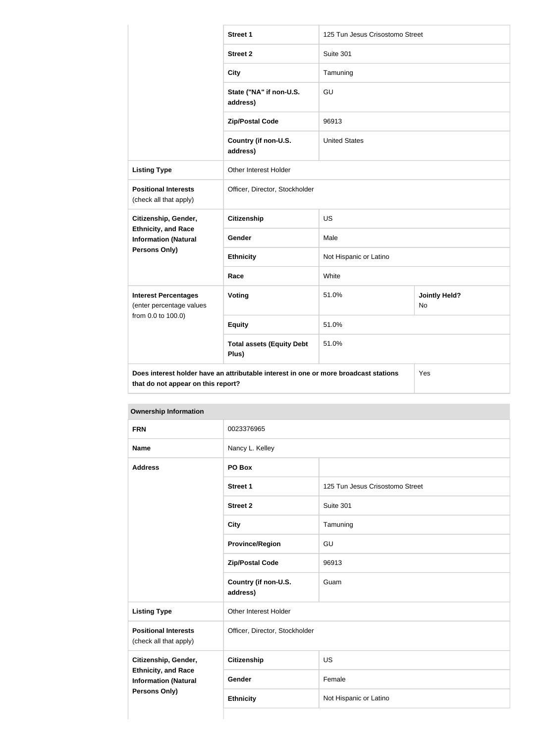|                                                                                                                            | <b>Street 1</b>                           | 125 Tun Jesus Crisostomo Street |                            |
|----------------------------------------------------------------------------------------------------------------------------|-------------------------------------------|---------------------------------|----------------------------|
|                                                                                                                            | <b>Street 2</b>                           | Suite 301                       |                            |
|                                                                                                                            | <b>City</b>                               | Tamuning                        |                            |
|                                                                                                                            | State ("NA" if non-U.S.<br>address)       | GU                              |                            |
|                                                                                                                            | <b>Zip/Postal Code</b>                    | 96913                           |                            |
|                                                                                                                            | Country (if non-U.S.<br>address)          | <b>United States</b>            |                            |
| <b>Listing Type</b>                                                                                                        | <b>Other Interest Holder</b>              |                                 |                            |
| <b>Positional Interests</b><br>(check all that apply)                                                                      | Officer, Director, Stockholder            |                                 |                            |
| Citizenship, Gender,                                                                                                       | <b>Citizenship</b>                        | <b>US</b>                       |                            |
| <b>Ethnicity, and Race</b><br><b>Information (Natural</b>                                                                  | Gender                                    | Male                            |                            |
| <b>Persons Only)</b>                                                                                                       | <b>Ethnicity</b>                          | Not Hispanic or Latino          |                            |
|                                                                                                                            | Race                                      | White                           |                            |
| <b>Interest Percentages</b><br>(enter percentage values<br>from 0.0 to 100.0)                                              | <b>Voting</b>                             | 51.0%                           | <b>Jointly Held?</b><br>No |
|                                                                                                                            | <b>Equity</b>                             | 51.0%                           |                            |
|                                                                                                                            | <b>Total assets (Equity Debt</b><br>Plus) | 51.0%                           |                            |
| Does interest holder have an attributable interest in one or more broadcast stations<br>that do not appear on this report? |                                           | Yes                             |                            |

| <b>FRN</b>                                                |                                  |                                 |  |
|-----------------------------------------------------------|----------------------------------|---------------------------------|--|
|                                                           |                                  | 0023376965                      |  |
| <b>Name</b>                                               | Nancy L. Kelley                  |                                 |  |
| <b>Address</b>                                            | PO Box                           |                                 |  |
|                                                           | Street 1                         | 125 Tun Jesus Crisostomo Street |  |
|                                                           | <b>Street 2</b>                  | Suite 301                       |  |
|                                                           | <b>City</b>                      | Tamuning                        |  |
|                                                           | <b>Province/Region</b>           | GU                              |  |
|                                                           | <b>Zip/Postal Code</b>           | 96913                           |  |
|                                                           | Country (if non-U.S.<br>address) | Guam                            |  |
| <b>Listing Type</b>                                       | Other Interest Holder            |                                 |  |
| <b>Positional Interests</b><br>(check all that apply)     | Officer, Director, Stockholder   |                                 |  |
| Citizenship, Gender,                                      | <b>Citizenship</b>               | <b>US</b>                       |  |
| <b>Ethnicity, and Race</b><br><b>Information (Natural</b> | Gender                           | Female                          |  |
| <b>Persons Only)</b>                                      | <b>Ethnicity</b>                 | Not Hispanic or Latino          |  |

# **Ownership Information**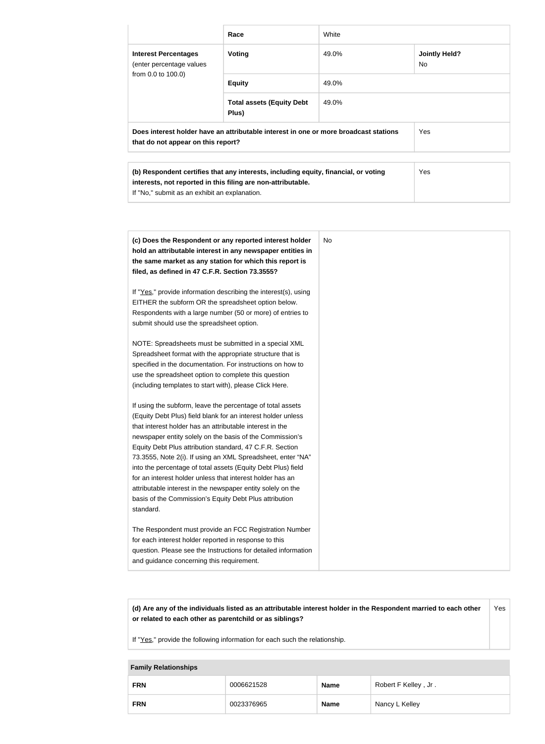|                                                                                                                            | Race                                      | White |                             |
|----------------------------------------------------------------------------------------------------------------------------|-------------------------------------------|-------|-----------------------------|
| <b>Interest Percentages</b><br>(enter percentage values<br>from 0.0 to 100.0)                                              | <b>Voting</b>                             | 49.0% | <b>Jointly Held?</b><br>No. |
|                                                                                                                            | <b>Equity</b>                             | 49.0% |                             |
|                                                                                                                            | <b>Total assets (Equity Debt</b><br>Plus) | 49.0% |                             |
| Does interest holder have an attributable interest in one or more broadcast stations<br>that do not appear on this report? |                                           |       | Yes                         |
| ALL PRODUCTS IN THE CHARGE OF REAL PROPERTY AND RELEASED TO THE CONTRACT AND ACCOUNT TO A RELEASED FOR THE CONTRACT OF     |                                           |       |                             |

| (b) Respondent certifies that any interests, including equity, financial, or voting | <b>Yes</b> |
|-------------------------------------------------------------------------------------|------------|
| interests, not reported in this filing are non-attributable.                        |            |
| If "No," submit as an exhibit an explanation.                                       |            |

| (c) Does the Respondent or any reported interest holder<br>hold an attributable interest in any newspaper entities in<br>the same market as any station for which this report is<br>filed, as defined in 47 C.F.R. Section 73.3555?                                                                                                                                                                                                                                                                                                                                                                                                              |
|--------------------------------------------------------------------------------------------------------------------------------------------------------------------------------------------------------------------------------------------------------------------------------------------------------------------------------------------------------------------------------------------------------------------------------------------------------------------------------------------------------------------------------------------------------------------------------------------------------------------------------------------------|
| If "Yes," provide information describing the interest(s), using<br>EITHER the subform OR the spreadsheet option below.<br>Respondents with a large number (50 or more) of entries to<br>submit should use the spreadsheet option.                                                                                                                                                                                                                                                                                                                                                                                                                |
| NOTE: Spreadsheets must be submitted in a special XML<br>Spreadsheet format with the appropriate structure that is<br>specified in the documentation. For instructions on how to<br>use the spreadsheet option to complete this question<br>(including templates to start with), please Click Here.                                                                                                                                                                                                                                                                                                                                              |
| If using the subform, leave the percentage of total assets<br>(Equity Debt Plus) field blank for an interest holder unless<br>that interest holder has an attributable interest in the<br>newspaper entity solely on the basis of the Commission's<br>Equity Debt Plus attribution standard, 47 C.F.R. Section<br>73.3555, Note 2(i). If using an XML Spreadsheet, enter "NA"<br>into the percentage of total assets (Equity Debt Plus) field<br>for an interest holder unless that interest holder has an<br>attributable interest in the newspaper entity solely on the<br>basis of the Commission's Equity Debt Plus attribution<br>standard. |
| The Respondent must provide an FCC Registration Number<br>for each interest holder reported in response to this<br>question. Please see the Instructions for detailed information<br>and guidance concerning this requirement.                                                                                                                                                                                                                                                                                                                                                                                                                   |

| (d) Are any of the individuals listed as an attributable interest holder in the Respondent married to each other | Yes |
|------------------------------------------------------------------------------------------------------------------|-----|
| or related to each other as parentchild or as siblings?                                                          |     |

If "Yes," provide the following information for each such the relationship.

# **Family Relationships FRN** 0006621528 **Name** Robert F Kelley , Jr . **FRN** 10023376965 **Name** Nancy L Kelley